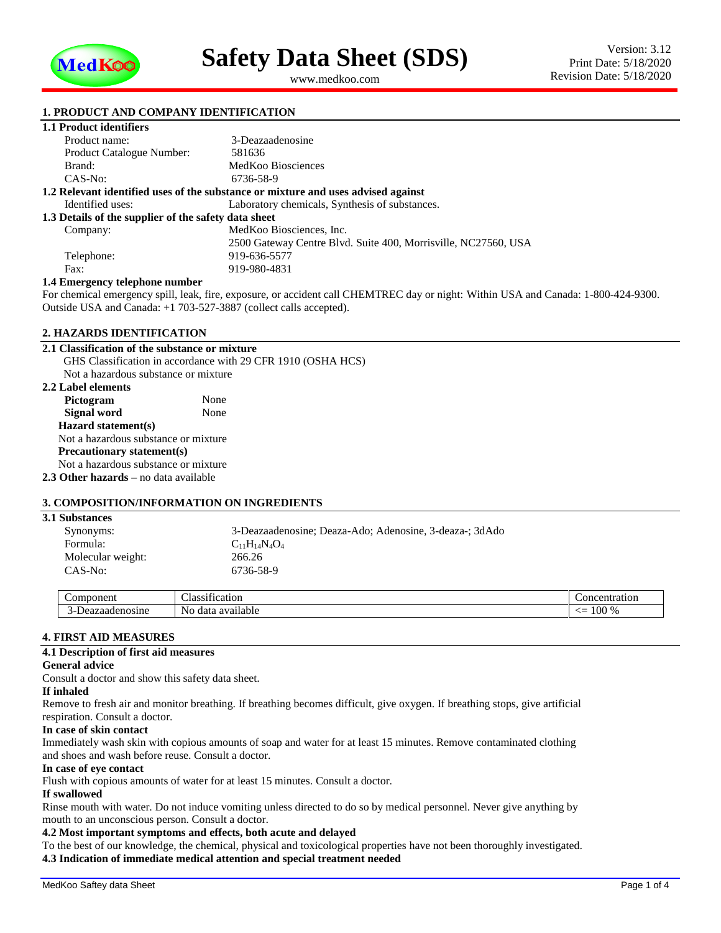

<span id="page-0-1"></span><span id="page-0-0"></span>www.medkoo.com

## **1. PRODUCT AND COMPANY IDENTIFICATION**

## **1.1 Product identifiers**

| Product name:                                        | 3-Deazaadenosine                                                                  |  |
|------------------------------------------------------|-----------------------------------------------------------------------------------|--|
| <b>Product Catalogue Number:</b>                     | 581636                                                                            |  |
| Brand:                                               | MedKoo Biosciences                                                                |  |
| CAS-No:                                              | 6736-58-9                                                                         |  |
|                                                      | 1.2 Relevant identified uses of the substance or mixture and uses advised against |  |
| Identified uses:                                     | Laboratory chemicals, Synthesis of substances.                                    |  |
| 1.3 Details of the supplier of the safety data sheet |                                                                                   |  |
| Company:                                             | MedKoo Biosciences, Inc.                                                          |  |
|                                                      | 2500 Gateway Centre Blvd. Suite 400, Morrisville, NC27560, USA                    |  |
| Telephone:                                           | 919-636-5577                                                                      |  |
| Fax:                                                 | 919-980-4831                                                                      |  |
| 1.4 Emergency telephone number                       |                                                                                   |  |

For chemical emergency spill, leak, fire, exposure, or accident call CHEMTREC day or night: Within USA and Canada: 1-800-424-9300. Outside USA and Canada: +1 703-527-3887 (collect calls accepted).

#### **2. HAZARDS IDENTIFICATION**

#### **2.1 Classification of the substance or mixture**

GHS Classification in accordance with 29 CFR 1910 (OSHA HCS) Not a hazardous substance or mixture **2.2 Label elements** Pictogram None **Signal word** None **Hazard statement(s)** Not a hazardous substance or mixture **Precautionary statement(s)** Not a hazardous substance or mixture **2.3 Other hazards –** no data available

## **3. COMPOSITION/INFORMATION ON INGREDIENTS**

| <b>3.1 Substances</b> |                                                         |  |
|-----------------------|---------------------------------------------------------|--|
| Synonyms:             | 3-Deazaadenosine; Deaza-Ado; Adenosine, 3-deaza-; 3dAdo |  |
| Formula:              | $C_{11}H_{14}N_4O_4$                                    |  |
| Molecular weight:     | 266.26                                                  |  |
| $CAS-No:$             | 6736-58-9                                               |  |
|                       |                                                         |  |

| $\sim$ $\sim$ $\sim$ $\sim$<br>nn | $\sim$<br>$\sim$<br>Aas :<br>$\sim$<br>псанон | n۳<br>∸atiOn - |
|-----------------------------------|-----------------------------------------------|----------------|
| .                                 | Nο<br>-ا ہ<br>data<br>$\mathbf{a}$<br>тарк    | $100\%$<br>--  |

#### **4. FIRST AID MEASURES**

#### **4.1 Description of first aid measures**

#### **General advice**

Consult a doctor and show this safety data sheet.

### **If inhaled**

Remove to fresh air and monitor breathing. If breathing becomes difficult, give oxygen. If breathing stops, give artificial respiration. Consult a doctor.

#### **In case of skin contact**

Immediately wash skin with copious amounts of soap and water for at least 15 minutes. Remove contaminated clothing and shoes and wash before reuse. Consult a doctor.

#### **In case of eye contact**

Flush with copious amounts of water for at least 15 minutes. Consult a doctor.

# **If swallowed**

Rinse mouth with water. Do not induce vomiting unless directed to do so by medical personnel. Never give anything by mouth to an unconscious person. Consult a doctor.

# **4.2 Most important symptoms and effects, both acute and delayed**

To the best of our knowledge, the chemical, physical and toxicological properties have not been thoroughly investigated.

**4.3 Indication of immediate medical attention and special treatment needed**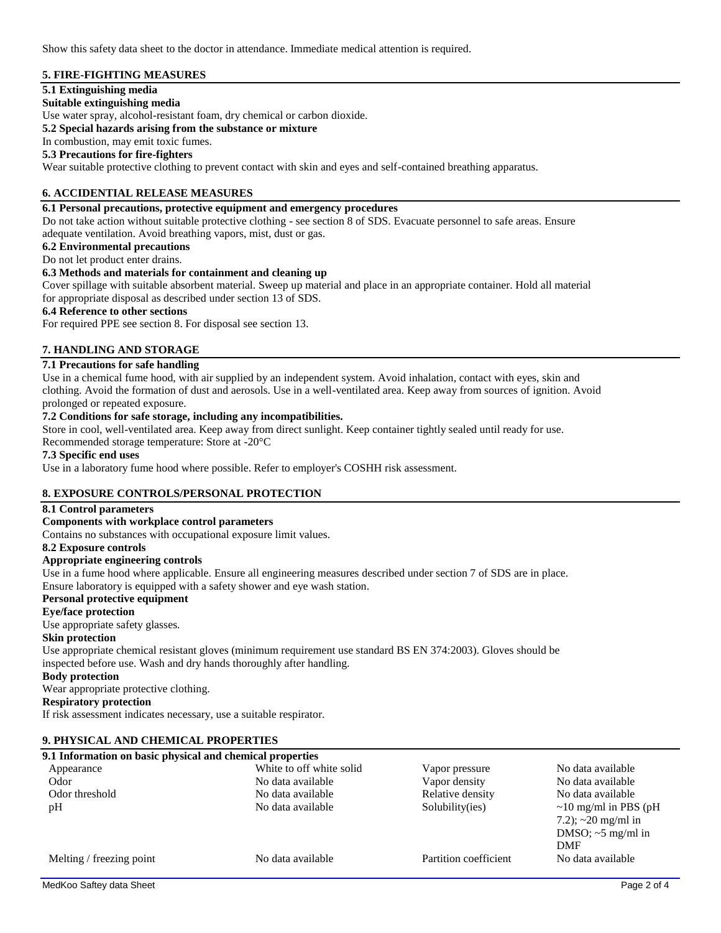Show this safety data sheet to the doctor in attendance. Immediate medical attention is required.

## **5. FIRE-FIGHTING MEASURES**

# **5.1 Extinguishing media**

**Suitable extinguishing media**

Use water spray, alcohol-resistant foam, dry chemical or carbon dioxide.

**5.2 Special hazards arising from the substance or mixture**

In combustion, may emit toxic fumes.

# **5.3 Precautions for fire-fighters**

Wear suitable protective clothing to prevent contact with skin and eyes and self-contained breathing apparatus.

# **6. ACCIDENTIAL RELEASE MEASURES**

# **6.1 Personal precautions, protective equipment and emergency procedures**

Do not take action without suitable protective clothing - see section 8 of SDS. Evacuate personnel to safe areas. Ensure adequate ventilation. Avoid breathing vapors, mist, dust or gas.

**6.2 Environmental precautions**

# Do not let product enter drains.

# **6.3 Methods and materials for containment and cleaning up**

Cover spillage with suitable absorbent material. Sweep up material and place in an appropriate container. Hold all material for appropriate disposal as described under section 13 of SDS.

#### **6.4 Reference to other sections**

For required PPE see section 8. For disposal see section 13.

# **7. HANDLING AND STORAGE**

# **7.1 Precautions for safe handling**

Use in a chemical fume hood, with air supplied by an independent system. Avoid inhalation, contact with eyes, skin and clothing. Avoid the formation of dust and aerosols. Use in a well-ventilated area. Keep away from sources of ignition. Avoid prolonged or repeated exposure.

#### **7.2 Conditions for safe storage, including any incompatibilities.**

Store in cool, well-ventilated area. Keep away from direct sunlight. Keep container tightly sealed until ready for use.

Recommended storage temperature: Store at -20°C

#### **7.3 Specific end uses**

Use in a laboratory fume hood where possible. Refer to employer's COSHH risk assessment.

### **8. EXPOSURE CONTROLS/PERSONAL PROTECTION**

### **8.1 Control parameters**

#### **Components with workplace control parameters**

Contains no substances with occupational exposure limit values.

#### **8.2 Exposure controls**

## **Appropriate engineering controls**

Use in a fume hood where applicable. Ensure all engineering measures described under section 7 of SDS are in place. Ensure laboratory is equipped with a safety shower and eye wash station.

### **Personal protective equipment**

#### **Eye/face protection**

Use appropriate safety glasses.

#### **Skin protection**

Use appropriate chemical resistant gloves (minimum requirement use standard BS EN 374:2003). Gloves should be inspected before use. Wash and dry hands thoroughly after handling.

#### **Body protection**

Wear appropriate protective clothing.

### **Respiratory protection**

If risk assessment indicates necessary, use a suitable respirator.

# **9. PHYSICAL AND CHEMICAL PROPERTIES**

| 9.1 Information on basic physical and chemical properties |                          |                       |                             |
|-----------------------------------------------------------|--------------------------|-----------------------|-----------------------------|
| Appearance                                                | White to off white solid | Vapor pressure        | No data available           |
| Odor                                                      | No data available        | Vapor density         | No data available           |
| Odor threshold                                            | No data available        | Relative density      | No data available           |
| pH                                                        | No data available        | Solubility(ies)       | $\sim$ 10 mg/ml in PBS (pH) |
|                                                           |                          |                       | 7.2); $\sim$ 20 mg/ml in    |
|                                                           |                          |                       | DMSO; $\sim$ 5 mg/ml in     |
|                                                           |                          |                       | <b>DMF</b>                  |
| Melting / freezing point                                  | No data available        | Partition coefficient | No data available           |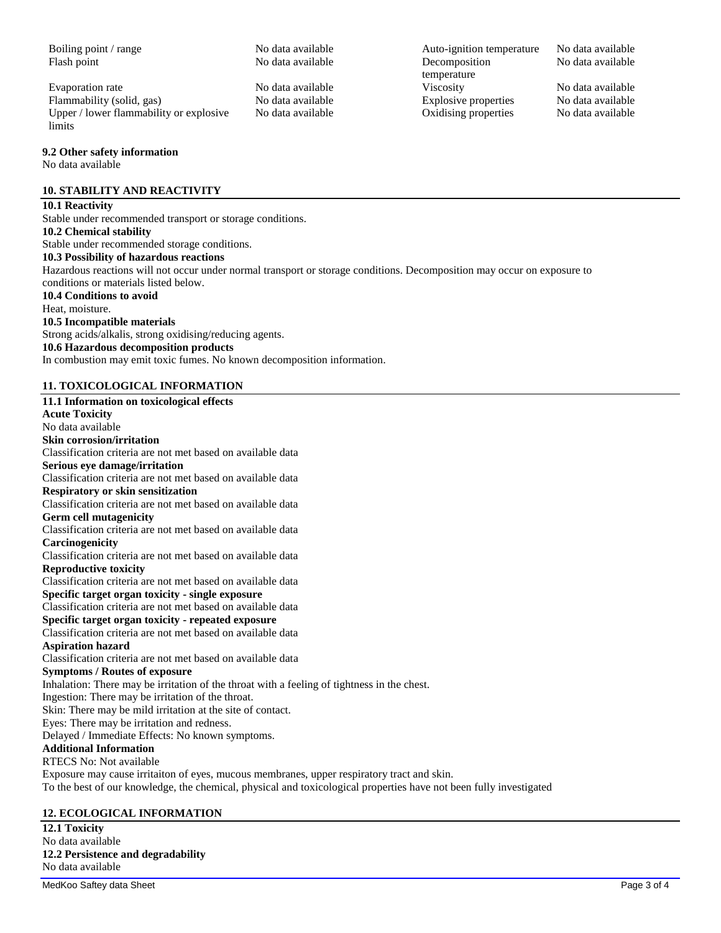Flash point The No data available The Decomposition

Evaporation rate No data available Viscosity No data available Flammability (solid, gas) No data available<br>
Unper / lower flammability or explosive No data available (San Archivese Coxidising properties No data available Upper / lower flammability or explosive limits

#### **9.2 Other safety information**

No data available

# **10. STABILITY AND REACTIVITY**

# **10.1 Reactivity**

Stable under recommended transport or storage conditions. **10.2 Chemical stability** Stable under recommended storage conditions. **10.3 Possibility of hazardous reactions** Hazardous reactions will not occur under normal transport or storage conditions. Decomposition may occur on exposure to conditions or materials listed below. **10.4 Conditions to avoid** Heat, moisture. **10.5 Incompatible materials** Strong acids/alkalis, strong oxidising/reducing agents. **10.6 Hazardous decomposition products** In combustion may emit toxic fumes. No known decomposition information. **11. TOXICOLOGICAL INFORMATION**

**11.1 Information on toxicological effects Acute Toxicity** No data available **Skin corrosion/irritation** Classification criteria are not met based on available data **Serious eye damage/irritation** Classification criteria are not met based on available data **Respiratory or skin sensitization** Classification criteria are not met based on available data **Germ cell mutagenicity** Classification criteria are not met based on available data **Carcinogenicity** Classification criteria are not met based on available data **Reproductive toxicity** Classification criteria are not met based on available data **Specific target organ toxicity - single exposure** Classification criteria are not met based on available data **Specific target organ toxicity - repeated exposure** Classification criteria are not met based on available data **Aspiration hazard** Classification criteria are not met based on available data **Symptoms / Routes of exposure** Inhalation: There may be irritation of the throat with a feeling of tightness in the chest. Ingestion: There may be irritation of the throat. Skin: There may be mild irritation at the site of contact. Eyes: There may be irritation and redness. Delayed / Immediate Effects: No known symptoms. **Additional Information** RTECS No: Not available Exposure may cause irritaiton of eyes, mucous membranes, upper respiratory tract and skin. To the best of our knowledge, the chemical, physical and toxicological properties have not been fully investigated

# **12. ECOLOGICAL INFORMATION**

**12.1 Toxicity** No data available **12.2 Persistence and degradability** No data available

Boiling point / range No data available Auto-ignition temperature No data available temperature Oxidising properties

No data available